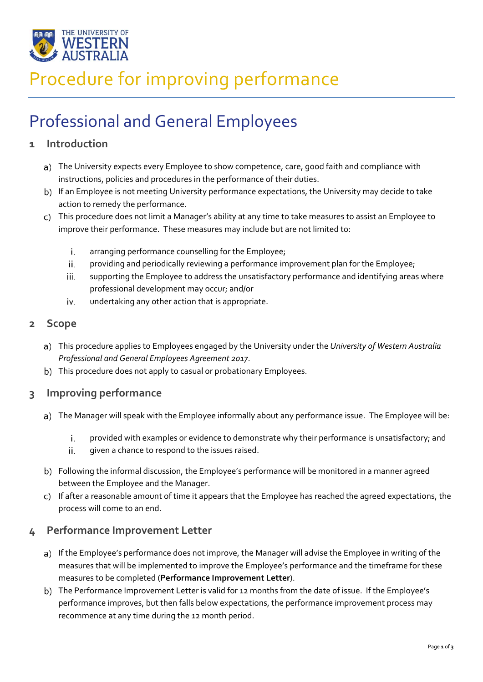

# Procedure for improving performance

# Professional and General Employees

### **1 Introduction**

- a) The University expects every Employee to show competence, care, good faith and compliance with instructions, policies and procedures in the performance of their duties.
- b) If an Employee is not meeting University performance expectations, the University may decide to take action to remedy the performance.
- This procedure does not limit a Manager's ability at any time to take measures to assist an Employee to improve their performance. These measures may include but are not limited to:
	- i. arranging performance counselling for the Employee;
	- ii. providing and periodically reviewing a performance improvement plan for the Employee;
	- iii. supporting the Employee to address the unsatisfactory performance and identifying areas where professional development may occur; and/or
	- undertaking any other action that is appropriate. iv.

#### **2 Scope**

- This procedure applies to Employees engaged by the University under the *University of Western Australia Professional and General Employees Agreement 2017*.
- This procedure does not apply to casual or probationary Employees.

#### **3 Improving performance**

- a) The Manager will speak with the Employee informally about any performance issue. The Employee will be:
	- i. provided with examples or evidence to demonstrate why their performance is unsatisfactory; and
	- ii. given a chance to respond to the issues raised.
- Following the informal discussion, the Employee's performance will be monitored in a manner agreed between the Employee and the Manager.
- c) If after a reasonable amount of time it appears that the Employee has reached the agreed expectations, the process will come to an end.

#### **4 Performance Improvement Letter**

- a) If the Employee's performance does not improve, the Manager will advise the Employee in writing of the measures that will be implemented to improve the Employee's performance and the timeframe for these measures to be completed (**Performance Improvement Letter**).
- The Performance Improvement Letter is valid for 12 months from the date of issue. If the Employee's performance improves, but then falls below expectations, the performance improvement process may recommence at any time during the 12 month period.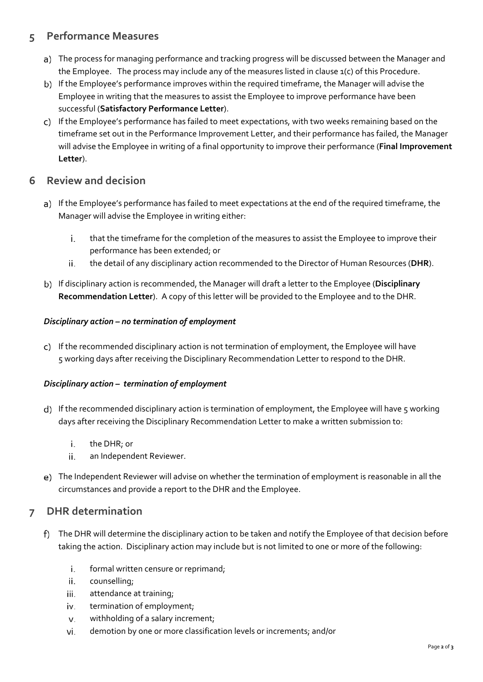### **5 Performance Measures**

- a) The process for managing performance and tracking progress will be discussed between the Manager and the Employee. The process may include any of the measures listed in clause 1(c) of this Procedure.
- b) If the Employee's performance improves within the required timeframe, the Manager will advise the Employee in writing that the measures to assist the Employee to improve performance have been successful (**Satisfactory Performance Letter**).
- c) If the Employee's performance has failed to meet expectations, with two weeks remaining based on the timeframe set out in the Performance Improvement Letter, and their performance has failed, the Manager will advise the Employee in writing of a final opportunity to improve their performance (**Final Improvement Letter**).

#### **6 Review and decision**

- a) If the Employee's performance has failed to meet expectations at the end of the required timeframe, the Manager will advise the Employee in writing either:
	- that the timeframe for the completion of the measures to assist the Employee to improve their i. performance has been extended; or
	- the detail of any disciplinary action recommended to the Director of Human Resources (**DHR**). ii.
- If disciplinary action is recommended, the Manager will draft a letter to the Employee (**Disciplinary Recommendation Letter**). A copy of this letter will be provided to the Employee and to the DHR.

#### *Disciplinary action – no termination of employment*

If the recommended disciplinary action is not termination of employment, the Employee will have 5 working days after receiving the Disciplinary Recommendation Letter to respond to the DHR.

#### *Disciplinary action – termination of employment*

- d) If the recommended disciplinary action is termination of employment, the Employee will have 5 working days after receiving the Disciplinary Recommendation Letter to make a written submission to:
	- i. the DHR; or
	- ii. an Independent Reviewer.
- The Independent Reviewer will advise on whether the termination of employment is reasonable in all the circumstances and provide a report to the DHR and the Employee.

### **7 DHR determination**

- The DHR will determine the disciplinary action to be taken and notify the Employee of that decision before taking the action. Disciplinary action may include but is not limited to one or more of the following:
	- i. formal written censure or reprimand;
	- ii. counselling;
	- iii. attendance at training;
	- termination of employment; iv.
	- withholding of a salary increment; v.
	- demotion by one or more classification levels or increments; and/orvi.